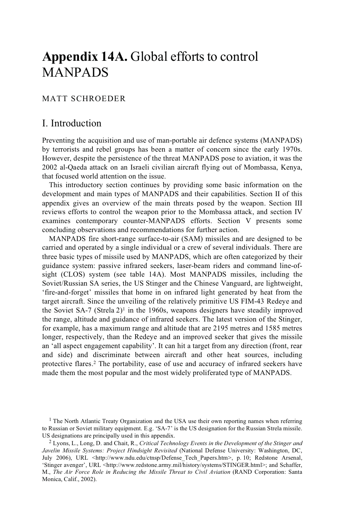# **Appendix 14A.** Global efforts to control MANPADS

## MATT SCHROEDER

# I. Introduction

Preventing the acquisition and use of man-portable air defence systems (MANPADS) by terrorists and rebel groups has been a matter of concern since the early 1970s. However, despite the persistence of the threat MANPADS pose to aviation, it was the 2002 al-Qaeda attack on an Israeli civilian aircraft flying out of Mombassa, Kenya, that focused world attention on the issue.

This introductory section continues by providing some basic information on the development and main types of MANPADS and their capabilities. Section II of this appendix gives an overview of the main threats posed by the weapon. Section III reviews efforts to control the weapon prior to the Mombassa attack, and section IV examines contemporary counter-MANPADS efforts. Section V presents some concluding observations and recommendations for further action.

MANPADS fire short-range surface-to-air (SAM) missiles and are designed to be carried and operated by a single individual or a crew of several individuals. There are three basic types of missile used by MANPADS, which are often categorized by their guidance system: passive infrared seekers, laser-beam riders and command line-ofsight (CLOS) system (see table 14A). Most MANPADS missiles, including the Soviet/Russian SA series, the US Stinger and the Chinese Vanguard, are lightweight, 'fire-and-forget' missiles that home in on infrared light generated by heat from the target aircraft. Since the unveiling of the relatively primitive US FIM-43 Redeye and the Soviet SA-7 (Strela  $2)^1$  in the 1960s, weapons designers have steadily improved the range, altitude and guidance of infrared seekers. The latest version of the Stinger, for example, has a maximum range and altitude that are 2195 metres and 1585 metres longer, respectively, than the Redeye and an improved seeker that gives the missile an 'all aspect engagement capability'. It can hit a target from any direction (front, rear and side) and discriminate between aircraft and other heat sources, including protective flares.2 The portability, ease of use and accuracy of infrared seekers have made them the most popular and the most widely proliferated type of MANPADS.

<sup>&</sup>lt;sup>1</sup> The North Atlantic Treaty Organization and the USA use their own reporting names when referring to Russian or Soviet military equipment. E.g. 'SA-7' is the US designation for the Russian Strela missile. US designations are principally used in this appendix.

<sup>&</sup>lt;sup>2</sup> Lyons, L., Long, D. and Chait, R., *Critical Technology Events in the Development of the Stinger and Javelin Missile Systems: Project Hindsight Revisited* (National Defense University: Washington, DC, July 2006), URL <http://www.ndu.edu/ctnsp/Defense Tech Papers.htm>, p. 10; Redstone Arsenal, 'Stinger avenger', URL <http://www.redstone.army.mil/history/systems/STINGER.html>; and Schaffer, M., *The Air Force Role in Reducing the Missile Threat to Civil Aviation* (RAND Corporation: Santa Monica, Calif., 2002).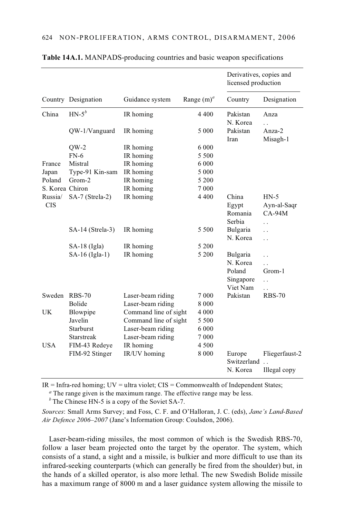|                       |                     |                       |               | Derivatives, copies and<br>licensed production          |                                                                                                        |
|-----------------------|---------------------|-----------------------|---------------|---------------------------------------------------------|--------------------------------------------------------------------------------------------------------|
|                       | Country Designation | Guidance system       | Range $(m)^a$ | Country                                                 | Designation                                                                                            |
| China                 | $HN-5^b$            | IR homing             | 4 4 0 0       | Pakistan<br>N. Korea                                    | Anza<br>$\ddot{\phantom{0}}$                                                                           |
|                       | QW-1/Vanguard       | IR homing             | 5 0 0 0       | Pakistan<br>Iran                                        | Anza-2<br>Misagh-1                                                                                     |
|                       | $QW-2$              | IR homing             | 6 000         |                                                         |                                                                                                        |
|                       | $FN-6$              | IR homing             | 5 5 0 0       |                                                         |                                                                                                        |
| France                | Mistral             | IR homing             | 6 0 0 0       |                                                         |                                                                                                        |
| Japan                 | Type-91 Kin-sam     | IR homing             | 5 0 0 0       |                                                         |                                                                                                        |
| Poland                | Grom-2              | IR homing             | 5 200         |                                                         |                                                                                                        |
| S. Korea Chiron       |                     | IR homing             | 7 0 0 0       |                                                         |                                                                                                        |
| Russia/<br><b>CIS</b> | SA-7 (Strela-2)     | IR homing             | 4 4 0 0       | China<br>Egypt<br>Romania<br>Serbia                     | $HN-5$<br>Ayn-al-Saqr<br>$CA-94M$<br>$\ddot{\phantom{0}}$                                              |
|                       | SA-14 (Strela-3)    | IR homing             | 5 500         | Bulgaria<br>N. Korea                                    | $\ddot{\phantom{0}}$<br>$\ddot{\phantom{0}}$                                                           |
|                       | SA-18 (Igla)        | IR homing             | 5 200         |                                                         |                                                                                                        |
|                       | SA-16 (Igla-1)      | IR homing             | 5 200         | Bulgaria<br>N. Korea<br>Poland<br>Singapore<br>Viet Nam | $\ddot{\phantom{0}}$<br>$\ddot{\phantom{0}}$<br>Grom-1<br>$\ddot{\phantom{0}}$<br>$\ddot{\phantom{0}}$ |
| Sweden                | <b>RBS-70</b>       | Laser-beam riding     | 7 0 0 0       | Pakistan                                                | <b>RBS-70</b>                                                                                          |
|                       | <b>Bolide</b>       | Laser-beam riding     | 8 0 0 0       |                                                         |                                                                                                        |
| UK                    | Blowpipe            | Command line of sight | 4 0 0 0       |                                                         |                                                                                                        |
|                       | Javelin             | Command line of sight | 5 5 0 0       |                                                         |                                                                                                        |
|                       | <b>Starburst</b>    | Laser-beam riding     | 6 0 0 0       |                                                         |                                                                                                        |
|                       | Starstreak          | Laser-beam riding     | 7 0 0 0       |                                                         |                                                                                                        |
| USA                   | FIM-43 Redeye       | IR homing             | 4 500         |                                                         |                                                                                                        |
|                       | FIM-92 Stinger      | IR/UV homing          | 8 0 0 0       | Europe<br>Switzerland                                   | Fliegerfaust-2                                                                                         |
|                       |                     |                       |               | N. Korea                                                | Illegal copy                                                                                           |

#### **Table 14A.1.** MANPADS-producing countries and basic weapon specifications

 $IR = Infra-red homing; UV = ultra violet; CIS = Commonwealth of Independent States;$ 

*<sup>a</sup>* The range given is the maximum range. The effective range may be less.

*<sup>b</sup>* The Chinese HN-5 is a copy of the Soviet SA-7.

*Sources*: Small Arms Survey; and Foss, C. F. and O'Halloran, J. C. (eds), *Jane's Land-Based Air Defence 2006–2007* (Jane's Information Group: Coulsdon, 2006).

Laser-beam-riding missiles, the most common of which is the Swedish RBS-70, follow a laser beam projected onto the target by the operator. The system, which consists of a stand, a sight and a missile, is bulkier and more difficult to use than its infrared-seeking counterparts (which can generally be fired from the shoulder) but, in the hands of a skilled operator, is also more lethal. The new Swedish Bolide missile has a maximum range of 8000 m and a laser guidance system allowing the missile to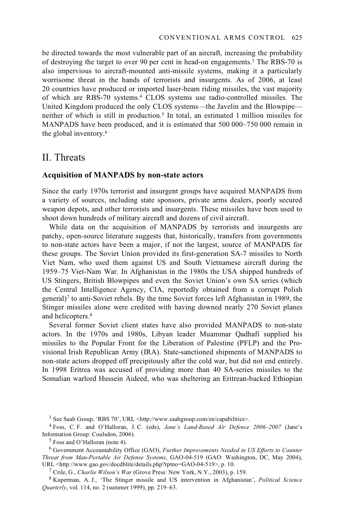be directed towards the most vulnerable part of an aircraft, increasing the probability of destroying the target to over 90 per cent in head-on engagements.3 The RBS-70 is also impervious to aircraft-mounted anti-missile systems, making it a particularly worrisome threat in the hands of terrorists and insurgents. As of 2006, at least 20 countries have produced or imported laser-beam riding missiles, the vast majority of which are RBS-70 systems.4 CLOS systems use radio-controlled missiles. The United Kingdom produced the only CLOS systems—the Javelin and the Blowpipe neither of which is still in production.<sup>5</sup> In total, an estimated 1 million missiles for MANPADS have been produced, and it is estimated that 500 000–750 000 remain in the global inventory.6

## II. Threats

#### **Acquisition of MANPADS by non-state actors**

Since the early 1970s terrorist and insurgent groups have acquired MANPADS from a variety of sources, including state sponsors, private arms dealers, poorly secured weapon depots, and other terrorists and insurgents. These missiles have been used to shoot down hundreds of military aircraft and dozens of civil aircraft.

While data on the acquisition of MANPADS by terrorists and insurgents are patchy, open-source literature suggests that, historically, transfers from governments to non-state actors have been a major, if not the largest, source of MANPADS for these groups. The Soviet Union provided its first-generation SA-7 missiles to North Viet Nam, who used them against US and South Vietnamese aircraft during the 1959–75 Viet-Nam War. In Afghanistan in the 1980s the USA shipped hundreds of US Stingers, British Blowpipes and even the Soviet Union's own SA series (which the Central Intelligence Agency, CIA, reportedly obtained from a corrupt Polish general)7 to anti-Soviet rebels. By the time Soviet forces left Afghanistan in 1989, the Stinger missiles alone were credited with having downed nearly 270 Soviet planes and helicopters.<sup>8</sup>

Several former Soviet client states have also provided MANPADS to non-state actors. In the 1970s and 1980s, Libyan leader Muammar Qadhafi supplied his missiles to the Popular Front for the Liberation of Palestine (PFLP) and the Provisional Irish Republican Army (IRA). State-sanctioned shipments of MANPADS to non-state actors dropped off precipitously after the cold war, but did not end entirely. In 1998 Eritrea was accused of providing more than 40 SA-series missiles to the Somalian warlord Hussein Aideed, who was sheltering an Eritrean-backed Ethiopian

<sup>3</sup> See Saab Group, 'RBS 70', URL <http://www.saabgroup.com/en/capabilities>.

<sup>4</sup> Foss, C. F. and O'Halloran, J. C. (eds), *Jane's Land-Based Air Defence 2006–2007* (Jane's Information Group: Coulsdon, 2006). 5 Foss and O'Halloran (note 4).

<sup>6</sup> Government Accountability Office (GAO), *Further Improvements Needed in US Efforts to Counter Threat from Man-Portable Air Defense Systems*, GAO-04-519 (GAO: Washington, DC, May 2004), URL <http://www.gao.gov/docdblite/details.php?rptno=GAO-04-519>, p. 10.<br><sup>7</sup> Crile, G., *Charlie Wilson's War* (Grove Press: New York, N.Y., 2003), p. 159.<br><sup>8</sup> Kuperman, A. J., 'The Stinger missile and US intervention in Af

*Quarterly*, vol. 114, no. 2 (summer 1999), pp. 219–63.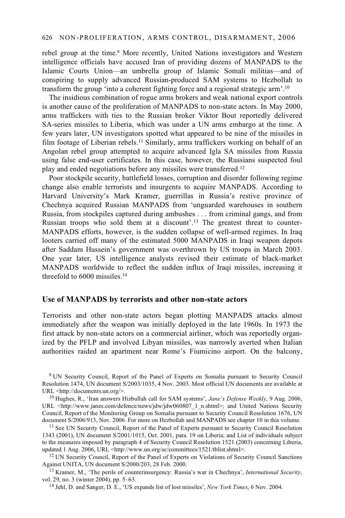#### 626 NON-PROLIFERATION, ARMS CONTROL, DISARMAMENT, 2006

rebel group at the time.<sup>9</sup> More recently, United Nations investigators and Western intelligence officials have accused Iran of providing dozens of MANPADS to the Islamic Courts Union—an umbrella group of Islamic Somali militias—and of conspiring to supply advanced Russian-produced SAM systems to Hezbollah to transform the group 'into a coherent fighting force and a regional strategic arm'.10

The insidious combination of rogue arms brokers and weak national export controls is another cause of the proliferation of MANPADS to non-state actors. In May 2000, arms traffickers with ties to the Russian broker Viktor Bout reportedly delivered SA-series missiles to Liberia, which was under a UN arms embargo at the time. A few years later, UN investigators spotted what appeared to be nine of the missiles in film footage of Liberian rebels.<sup>11</sup> Similarly, arms traffickers working on behalf of an Angolan rebel group attempted to acquire advanced Igla SA missiles from Russia using false end-user certificates. In this case, however, the Russians suspected foul play and ended negotiations before any missiles were transferred.12

Poor stockpile security, battlefield losses, corruption and disorder following regime change also enable terrorists and insurgents to acquire MANPADS. According to Harvard University's Mark Kramer, guerrillas in Russia's restive province of Chechnya acquired Russian MANPADS from 'unguarded warehouses in southern Russia, from stockpiles captured during ambushes . . . from criminal gangs, and from Russian troops who sold them at a discount'.13 The greatest threat to counter-MANPADS efforts, however, is the sudden collapse of well-armed regimes. In Iraq looters carried off many of the estimated 5000 MANPADS in Iraqi weapon depots after Saddam Hussein's government was overthrown by US troops in March 2003. One year later, US intelligence analysts revised their estimate of black-market MANPADS worldwide to reflect the sudden influx of Iraqi missiles, increasing it threefold to 6000 missiles.14

### **Use of MANPADS by terrorists and other non-state actors**

Terrorists and other non-state actors began plotting MANPADS attacks almost immediately after the weapon was initially deployed in the late 1960s. In 1973 the first attack by non-state actors on a commercial airliner, which was reportedly organized by the PFLP and involved Libyan missiles, was narrowly averted when Italian authorities raided an apartment near Rome's Fiumicino airport. On the balcony,

9 UN Security Council, Report of the Panel of Experts on Somalia pursuant to Security Council Resolution 1474, UN document S/2003/1035, 4 Nov. 2003. Most official UN documents are available at URL  $\lt$ http://documents.un.org/>.

<sup>10</sup> Hughes, R., 'Iran answers Hizbullah call for SAM systems', *Jane's Defense Weekly*, 9 Aug. 2006, URL <http://www.janes.com/defence/news/jdw/jdw060807\_1\_n.shtml>; and United Nations Security Council, Report of the Monitoring Group on Somalia pursuant to Security Council Resolution 1676, UN

<sup>11</sup> See UN Security Council, Report of the Panel of Experts pursuant to Security Council Resolution 1343 (2001), UN document S/2001/1015, Oct. 2001, para. 19 on Liberia; and List of individuals subject to the measures imposed by paragraph 4 of Security Council Resolution 1521 (2003) concerning Liberia, updated 1 Aug. 2006, URL <http://www.un.org/sc/committees/1521/tblist.shtml>.

<sup>12</sup> UN Security Council, Report of the Panel of Experts on Violations of Security Council Sanctions Against UNITA. UN document S/2000/203, 28 Feb. 2000.

<sup>13</sup> Kramer, M., 'The perils of counterinsurgency: Russia's war in Chechnya', *International Security*, vol. 29, no. 3 (winter 2004), pp. 5–63. 14 Jehl, D. and Sanger, D. E., 'US expands list of lost missiles', *New York Times*, 6 Nov. 2004.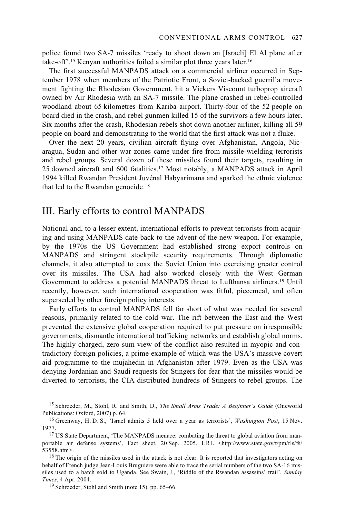police found two SA-7 missiles 'ready to shoot down an [Israeli] El Al plane after take-off'.15 Kenyan authorities foiled a similar plot three years later.16

The first successful MANPADS attack on a commercial airliner occurred in September 1978 when members of the Patriotic Front, a Soviet-backed guerrilla movement fighting the Rhodesian Government, hit a Vickers Viscount turboprop aircraft owned by Air Rhodesia with an SA-7 missile. The plane crashed in rebel-controlled woodland about 65 kilometres from Kariba airport. Thirty-four of the 52 people on board died in the crash, and rebel gunmen killed 15 of the survivors a few hours later. Six months after the crash, Rhodesian rebels shot down another airliner, killing all 59 people on board and demonstrating to the world that the first attack was not a fluke.

Over the next 20 years, civilian aircraft flying over Afghanistan, Angola, Nicaragua, Sudan and other war zones came under fire from missile-wielding terrorists and rebel groups. Several dozen of these missiles found their targets, resulting in 25 downed aircraft and 600 fatalities.17 Most notably, a MANPADS attack in April 1994 killed Rwandan President Juvénal Habyarimana and sparked the ethnic violence that led to the Rwandan genocide.18

## III. Early efforts to control MANPADS

National and, to a lesser extent, international efforts to prevent terrorists from acquiring and using MANPADS date back to the advent of the new weapon. For example, by the 1970s the US Government had established strong export controls on MANPADS and stringent stockpile security requirements. Through diplomatic channels, it also attempted to coax the Soviet Union into exercising greater control over its missiles. The USA had also worked closely with the West German Government to address a potential MANPADS threat to Lufthansa airliners.19 Until recently, however, such international cooperation was fitful, piecemeal, and often superseded by other foreign policy interests.

Early efforts to control MANPADS fell far short of what was needed for several reasons, primarily related to the cold war. The rift between the East and the West prevented the extensive global cooperation required to put pressure on irresponsible governments, dismantle international trafficking networks and establish global norms. The highly charged, zero-sum view of the conflict also resulted in myopic and contradictory foreign policies, a prime example of which was the USA's massive covert aid programme to the mujahedin in Afghanistan after 1979. Even as the USA was denying Jordanian and Saudi requests for Stingers for fear that the missiles would be diverted to terrorists, the CIA distributed hundreds of Stingers to rebel groups. The

15 Schroeder, M., Stohl, R. and Smith, D., *The Small Arms Trade: A Beginner's Guide* (Oneworld

<sup>16</sup> Greenway, H. D. S., 'Israel admits 5 held over a year as terrorists', *Washington Post*, 15 Nov. 1977.

<sup>17</sup> US State Department, 'The MANPADS menace: combating the threat to global aviation from manportable air defense systems', Fact sheet, 20 Sep. 2005, URL <http://www.state.gov/t/pm/rls/fs/ 53558.htm>.<br><sup>18</sup> The origin of the missiles used in the attack is not clear. It is reported that investigators acting on

behalf of French judge Jean-Louis Bruguiere were able to trace the serial numbers of the two SA-16 missiles used to a batch sold to Uganda. See Swain, J., 'Riddle of the Rwandan assassins' trail', *Sunday Times*, 4 Apr. 2004.<br><sup>19</sup> Schroeder, Stohl and Smith (note 15), pp. 65–66.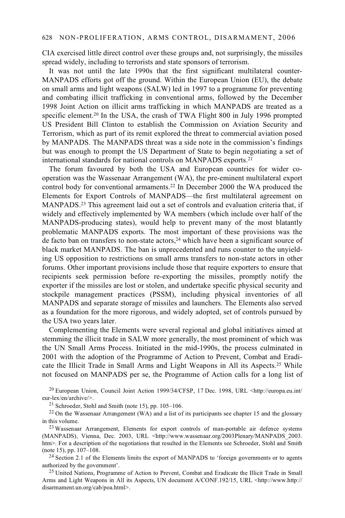CIA exercised little direct control over these groups and, not surprisingly, the missiles spread widely, including to terrorists and state sponsors of terrorism.

It was not until the late 1990s that the first significant multilateral counter-MANPADS efforts got off the ground. Within the European Union (EU), the debate on small arms and light weapons (SALW) led in 1997 to a programme for preventing and combating illicit trafficking in conventional arms, followed by the December 1998 Joint Action on illicit arms trafficking in which MANPADS are treated as a specific element.<sup>20</sup> In the USA, the crash of TWA Flight 800 in July 1996 prompted US President Bill Clinton to establish the Commission on Aviation Security and Terrorism, which as part of its remit explored the threat to commercial aviation posed by MANPADS. The MANPADS threat was a side note in the commission's findings but was enough to prompt the US Department of State to begin negotiating a set of international standards for national controls on MANPADS exports.21

The forum favoured by both the USA and European countries for wider cooperation was the Wassenaar Arrangement (WA), the pre-eminent multilateral export control body for conventional armaments.<sup>22</sup> In December 2000 the WA produced the Elements for Export Controls of MANPADS—the first multilateral agreement on MANPADS.23 This agreement laid out a set of controls and evaluation criteria that, if widely and effectively implemented by WA members (which include over half of the MANPADS-producing states), would help to prevent many of the most blatantly problematic MANPADS exports. The most important of these provisions was the de facto ban on transfers to non-state actors, $24$  which have been a significant source of black market MANPADS. The ban is unprecedented and runs counter to the unyielding US opposition to restrictions on small arms transfers to non-state actors in other forums. Other important provisions include those that require exporters to ensure that recipients seek permission before re-exporting the missiles, promptly notify the exporter if the missiles are lost or stolen, and undertake specific physical security and stockpile management practices (PSSM), including physical inventories of all MANPADS and separate storage of missiles and launchers. The Elements also served as a foundation for the more rigorous, and widely adopted, set of controls pursued by the USA two years later.

Complementing the Elements were several regional and global initiatives aimed at stemming the illicit trade in SALW more generally, the most prominent of which was the UN Small Arms Process. Initiated in the mid-1990s, the process culminated in 2001 with the adoption of the Programme of Action to Prevent, Combat and Eradicate the Illicit Trade in Small Arms and Light Weapons in All its Aspects.25 While not focused on MANPADS per se, the Programme of Action calls for a long list of

<sup>20</sup> European Union, Council Joint Action 1999/34/CFSP, 17 Dec. 1998, URL <http://europa.eu.int/eur-lex/en/archive/>.

<sup>21</sup> Schroeder, Stohl and Smith (note 15), pp. 105–106.

<sup>22</sup> On the Wassenaar Arrangement (WA) and a list of its participants see chapter 15 and the glossary in this volume.<br><sup>23</sup> Wassenaar Arrangement, Elements for export controls of man-portable air defence systems

(MANPADS), Vienna, Dec. 2003, URL <http://www.wassenaar.org/2003Plenary/MANPADS\_2003. htm>. For a description of the negotiations that resulted in the Elements see Schroeder, Stohl and Smith (note 15), pp. 107–108.

 $24$  Section 2.1 of the Elements limits the export of MANPADS to 'foreign governments or to agents authorized by the government'.

<sup>25</sup> United Nations, Programme of Action to Prevent, Combat and Eradicate the Illicit Trade in Small Arms and Light Weapons in All its Aspects, UN document A/CONF.192/15, URL <http://www.http:// disarmament.un.org/cab/poa.html>.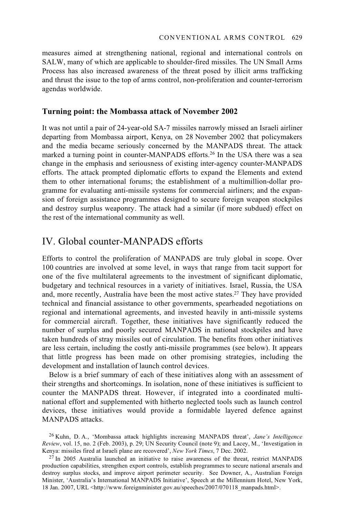measures aimed at strengthening national, regional and international controls on SALW, many of which are applicable to shoulder-fired missiles. The UN Small Arms Process has also increased awareness of the threat posed by illicit arms trafficking and thrust the issue to the top of arms control, non-proliferation and counter-terrorism agendas worldwide.

#### **Turning point: the Mombassa attack of November 2002**

It was not until a pair of 24-year-old SA-7 missiles narrowly missed an Israeli airliner departing from Mombassa airport, Kenya, on 28 November 2002 that policymakers and the media became seriously concerned by the MANPADS threat. The attack marked a turning point in counter-MANPADS efforts.26 In the USA there was a sea change in the emphasis and seriousness of existing inter-agency counter-MANPADS efforts. The attack prompted diplomatic efforts to expand the Elements and extend them to other international forums; the establishment of a multimillion-dollar programme for evaluating anti-missile systems for commercial airliners; and the expansion of foreign assistance programmes designed to secure foreign weapon stockpiles and destroy surplus weaponry. The attack had a similar (if more subdued) effect on the rest of the international community as well.

# IV. Global counter-MANPADS efforts

Efforts to control the proliferation of MANPADS are truly global in scope. Over 100 countries are involved at some level, in ways that range from tacit support for one of the five multilateral agreements to the investment of significant diplomatic, budgetary and technical resources in a variety of initiatives. Israel, Russia, the USA and, more recently, Australia have been the most active states.<sup>27</sup> They have provided technical and financial assistance to other governments, spearheaded negotiations on regional and international agreements, and invested heavily in anti-missile systems for commercial aircraft. Together, these initiatives have significantly reduced the number of surplus and poorly secured MANPADS in national stockpiles and have taken hundreds of stray missiles out of circulation. The benefits from other initiatives are less certain, including the costly anti-missile programmes (see below). It appears that little progress has been made on other promising strategies, including the development and installation of launch control devices.

Below is a brief summary of each of these initiatives along with an assessment of their strengths and shortcomings. In isolation, none of these initiatives is sufficient to counter the MANPADS threat. However, if integrated into a coordinated multinational effort and supplemented with hitherto neglected tools such as launch control devices, these initiatives would provide a formidable layered defence against MANPADS attacks.

<sup>26</sup> Kuhn, D. A., 'Mombassa attack highlights increasing MANPADS threat', *Jane's Intelligence Review*, vol. 15, no. 2 (Feb. 2003), p. 29; UN Security Council (note 9); and Lacey, M., 'Investigation in Kenya: missiles fired at Israeli plane are recovered', *New York Times*, 7 Dec. 2002.

<sup>&</sup>lt;sup>27</sup> In 2005 Australia launched an initiative to raise awareness of the threat, restrict MANPADS production capabilities, strengthen export controls, establish programmes to secure national arsenals and destroy surplus stocks, and improve airport perimeter security. See Downer, A., Australian Foreign Minister, 'Australia's International MANPADS Initiative', Speech at the Millennium Hotel, New York, 18 Jan. 2007, URL <http://www.foreignminister.gov.au/speeches/2007/070118\_manpads.html>.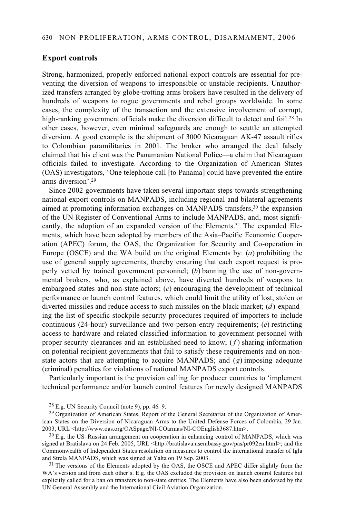#### **Export controls**

Strong, harmonized, properly enforced national export controls are essential for preventing the diversion of weapons to irresponsible or unstable recipients. Unauthorized transfers arranged by globe-trotting arms brokers have resulted in the delivery of hundreds of weapons to rogue governments and rebel groups worldwide. In some cases, the complexity of the transaction and the extensive involvement of corrupt, high-ranking government officials make the diversion difficult to detect and foil.<sup>28</sup> In other cases, however, even minimal safeguards are enough to scuttle an attempted diversion. A good example is the shipment of 3000 Nicaraguan AK-47 assault rifles to Colombian paramilitaries in 2001. The broker who arranged the deal falsely claimed that his client was the Panamanian National Police—a claim that Nicaraguan officials failed to investigate. According to the Organization of American States (OAS) investigators, 'One telephone call [to Panama] could have prevented the entire arms diversion'.29

Since 2002 governments have taken several important steps towards strengthening national export controls on MANPADS, including regional and bilateral agreements aimed at promoting information exchanges on MANPADS transfers,30 the expansion of the UN Register of Conventional Arms to include MANPADS, and, most significantly, the adoption of an expanded version of the Elements.<sup>31</sup> The expanded Elements, which have been adopted by members of the Asia–Pacific Economic Cooperation (APEC) forum, the OAS, the Organization for Security and Co-operation in Europe (OSCE) and the WA build on the original Elements by: (*a*) prohibiting the use of general supply agreements, thereby ensuring that each export request is properly vetted by trained government personnel; (*b*) banning the use of non-governmental brokers, who, as explained above, have diverted hundreds of weapons to embargoed states and non-state actors; (*c*) encouraging the development of technical performance or launch control features, which could limit the utility of lost, stolen or diverted missiles and reduce access to such missiles on the black market; (*d*) expanding the list of specific stockpile security procedures required of importers to include continuous (24-hour) surveillance and two-person entry requirements; (*e*) restricting access to hardware and related classified information to government personnel with proper security clearances and an established need to know; ( *f* ) sharing information on potential recipient governments that fail to satisfy these requirements and on nonstate actors that are attempting to acquire MANPADS; and (*g*) imposing adequate (criminal) penalties for violations of national MANPADS export controls.

Particularly important is the provision calling for producer countries to 'implement technical performance and/or launch control features for newly designed MANPADS

 $28$  E.g. UN Security Council (note 9), pp. 46–9.

<sup>29</sup> Organization of American States, Report of the General Secretariat of the Organization of American States on the Diversion of Nicaraguan Arms to the United Defense Forces of Colombia, 29 Jan.<br>2003, URL <http://www.oas.org/OASpage/NI-COarmas/NI-COEnglish3687.htm>.

 $^{30}$  E.g. the US–Russian arrangement on cooperation in enhancing control of MANPADS, which was signed at Bratislava on 24 Feb. 2005, URL <http://bratislava.usembassy.gov/pas/pr092en.html>; and the Commonwealth of Independent States resolution on measures to control the international transfer of Igla and Strela MANPADS, which was signed at Yalta on 19 Sep. 2003.<br><sup>31</sup> The versions of the Elements adopted by the OAS, the OSCE and APEC differ slightly from the

WA's version and from each other's. E.g. the OAS excluded the provision on launch control features but explicitly called for a ban on transfers to non-state entities. The Elements have also been endorsed by the UN General Assembly and the International Civil Aviation Organization.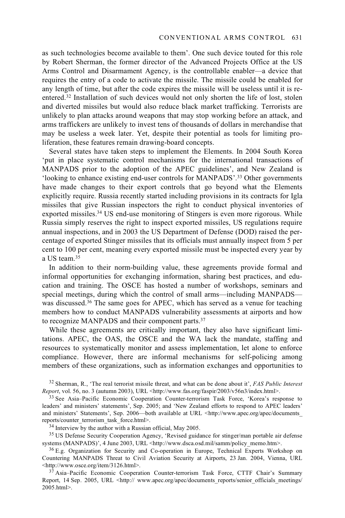as such technologies become available to them'. One such device touted for this role by Robert Sherman, the former director of the Advanced Projects Office at the US Arms Control and Disarmament Agency, is the controllable enabler—a device that requires the entry of a code to activate the missile. The missile could be enabled for any length of time, but after the code expires the missile will be useless until it is reentered.32 Installation of such devices would not only shorten the life of lost, stolen and diverted missiles but would also reduce black market trafficking. Terrorists are unlikely to plan attacks around weapons that may stop working before an attack, and arms traffickers are unlikely to invest tens of thousands of dollars in merchandise that may be useless a week later. Yet, despite their potential as tools for limiting proliferation, these features remain drawing-board concepts.

Several states have taken steps to implement the Elements. In 2004 South Korea 'put in place systematic control mechanisms for the international transactions of MANPADS prior to the adoption of the APEC guidelines', and New Zealand is 'looking to enhance existing end-user controls for MANPADS'.33 Other governments have made changes to their export controls that go beyond what the Elements explicitly require. Russia recently started including provisions in its contracts for Igla missiles that give Russian inspectors the right to conduct physical inventories of exported missiles.34 US end-use monitoring of Stingers is even more rigorous. While Russia simply reserves the right to inspect exported missiles, US regulations require annual inspections, and in 2003 the US Department of Defense (DOD) raised the percentage of exported Stinger missiles that its officials must annually inspect from 5 per cent to 100 per cent, meaning every exported missile must be inspected every year by a US team.35

In addition to their norm-building value, these agreements provide formal and informal opportunities for exchanging information, sharing best practices, and education and training. The OSCE has hosted a number of workshops, seminars and special meetings, during which the control of small arms—including MANPADS was discussed.<sup>36</sup> The same goes for APEC, which has served as a venue for teaching members how to conduct MANPADS vulnerability assessments at airports and how to recognize MANPADS and their component parts.37

While these agreements are critically important, they also have significant limitations. APEC, the OAS, the OSCE and the WA lack the mandate, staffing and resources to systematically monitor and assess implementation, let alone to enforce compliance. However, there are informal mechanisms for self-policing among members of these organizations, such as information exchanges and opportunities to

32 Sherman, R., 'The real terrorist missile threat, and what can be done about it', *FAS Public Interest* 

<sup>33</sup> See Asia–Pacific Economic Cooperation Counter-terrorism Task Force, 'Korea's response to leaders' and ministers' statements', Sep. 2005; and 'New Zealand efforts to respond to APEC leaders' and ministers' Statements', Sep. 2006—both available at URL <http://www.apec.org/apec/documents reports/counter\_terrorism\_task\_force.html>. 34 Interview by the author with a Russian official, May 2005.

 $35$  US Defense Security Cooperation Agency, 'Revised guidance for stinger/man portable air defense systems (MANPADS)', 4 June 2003, URL <http://www.dsca.osd.mil/samm/policy memo.htm>.

 $36$  E.g. Organization for Security and Co-operation in Europe, Technical Experts Workshop on Countering MANPADS Threat to Civil Aviation Security at Airports, 23 Jan. 2004, Vienna, URL<br><http://www.osce.org/item/3126.html>.

37 Asia–Pacific Economic Cooperation Counter-terrorism Task Force, CTTF Chair's Summary Report, 14 Sep. 2005, URL <http:// www.apec.org/apec/documents reports/senior officials meetings/ 2005.html>.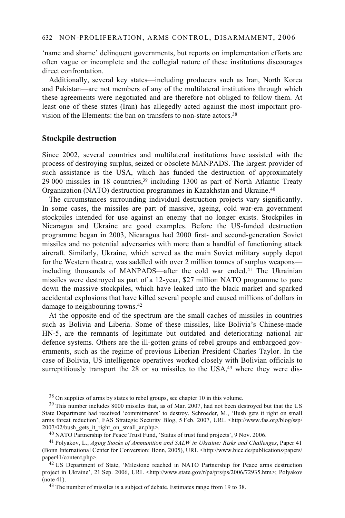'name and shame' delinquent governments, but reports on implementation efforts are often vague or incomplete and the collegial nature of these institutions discourages direct confrontation.

Additionally, several key states—including producers such as Iran, North Korea and Pakistan—are not members of any of the multilateral institutions through which these agreements were negotiated and are therefore not obliged to follow them. At least one of these states (Iran) has allegedly acted against the most important provision of the Elements: the ban on transfers to non-state actors.<sup>38</sup>

#### **Stockpile destruction**

Since 2002, several countries and multilateral institutions have assisted with the process of destroying surplus, seized or obsolete MANPADS. The largest provider of such assistance is the USA, which has funded the destruction of approximately 29 000 missiles in 18 countries,39 including 1300 as part of North Atlantic Treaty Organization (NATO) destruction programmes in Kazakhstan and Ukraine.40

The circumstances surrounding individual destruction projects vary significantly. In some cases, the missiles are part of massive, ageing, cold war-era government stockpiles intended for use against an enemy that no longer exists. Stockpiles in Nicaragua and Ukraine are good examples. Before the US-funded destruction programme began in 2003, Nicaragua had 2000 first- and second-generation Soviet missiles and no potential adversaries with more than a handful of functioning attack aircraft. Similarly, Ukraine, which served as the main Soviet military supply depot for the Western theatre, was saddled with over 2 million tonnes of surplus weapons including thousands of MANPADS—after the cold war ended.41 The Ukrainian missiles were destroyed as part of a 12-year, \$27 million NATO programme to pare down the massive stockpiles, which have leaked into the black market and sparked accidental explosions that have killed several people and caused millions of dollars in damage to neighbouring towns.42

At the opposite end of the spectrum are the small caches of missiles in countries such as Bolivia and Liberia. Some of these missiles, like Bolivia's Chinese-made HN-5, are the remnants of legitimate but outdated and deteriorating national air defence systems. Others are the ill-gotten gains of rebel groups and embargoed governments, such as the regime of previous Liberian President Charles Taylor. In the case of Bolivia, US intelligence operatives worked closely with Bolivian officials to surreptitiously transport the  $28$  or so missiles to the USA, $43$  where they were dis-

38 On supplies of arms by states to rebel groups, see chapter 10 in this volume.

<sup>39</sup> This number includes 8000 missiles that, as of Mar. 2007, had not been destroyed but that the US State Department had received 'commitments' to destroy. Schroeder, M., 'Bush gets it right on small arms threat reduction', FAS Strategic Security Blog, 5 Feb. 2007, URL <http://www.fas.org/blog/ssp/ 2007/02/bush gets it right on small ar.php>.

<sup>40</sup> NATO Partnership for Peace Trust Fund, 'Status of trust fund projects', 9 Nov. 2006.

41 Polyakov, L., *Aging Stocks of Ammunition and SALW in Ukraine: Risks and Challenges*, Paper 41 (Bonn International Center for Conversion: Bonn, 2005), URL <http://www.bicc.de/publications/papers/ paper41/content.php>. 42 US Department of State, 'Milestone reached in NATO Partnership for Peace arms destruction

project in Ukraine', 21 Sep. 2006, URL <http://www.state.gov/r/pa/prs/ps/2006/72935.htm>; Polyakov (note 41). 43 The number of missiles is a subject of debate. Estimates range from 19 to 38.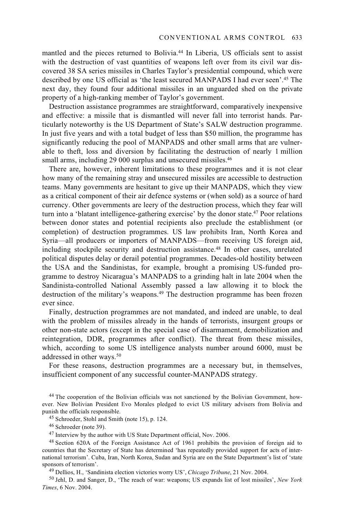mantled and the pieces returned to Bolivia.44 In Liberia, US officials sent to assist with the destruction of vast quantities of weapons left over from its civil war discovered 38 SA series missiles in Charles Taylor's presidential compound, which were described by one US official as 'the least secured MANPADS I had ever seen'.45 The next day, they found four additional missiles in an unguarded shed on the private property of a high-ranking member of Taylor's government.

Destruction assistance programmes are straightforward, comparatively inexpensive and effective: a missile that is dismantled will never fall into terrorist hands. Particularly noteworthy is the US Department of State's SALW destruction programme. In just five years and with a total budget of less than \$50 million, the programme has significantly reducing the pool of MANPADS and other small arms that are vulnerable to theft, loss and diversion by facilitating the destruction of nearly 1 million small arms, including 29 000 surplus and unsecured missiles.<sup>46</sup>

There are, however, inherent limitations to these programmes and it is not clear how many of the remaining stray and unsecured missiles are accessible to destruction teams. Many governments are hesitant to give up their MANPADS, which they view as a critical component of their air defence systems or (when sold) as a source of hard currency. Other governments are leery of the destruction process, which they fear will turn into a 'blatant intelligence-gathering exercise' by the donor state.47 Poor relations between donor states and potential recipients also preclude the establishment (or completion) of destruction programmes. US law prohibits Iran, North Korea and Syria—all producers or importers of MANPADS—from receiving US foreign aid, including stockpile security and destruction assistance.<sup>48</sup> In other cases, unrelated political disputes delay or derail potential programmes. Decades-old hostility between the USA and the Sandinistas, for example, brought a promising US-funded programme to destroy Nicaragua's MANPADS to a grinding halt in late 2004 when the Sandinista-controlled National Assembly passed a law allowing it to block the destruction of the military's weapons.49 The destruction programme has been frozen ever since.

Finally, destruction programmes are not mandated, and indeed are unable, to deal with the problem of missiles already in the hands of terrorists, insurgent groups or other non-state actors (except in the special case of disarmament, demobilization and reintegration, DDR, programmes after conflict). The threat from these missiles, which, according to some US intelligence analysts number around 6000, must be addressed in other ways.<sup>50</sup>

For these reasons, destruction programmes are a necessary but, in themselves, insufficient component of any successful counter-MANPADS strategy.

44 The cooperation of the Bolivian officials was not sanctioned by the Bolivian Government, however. New Bolivian President Evo Morales pledged to evict US military advisers from Bolivia and

 $45$  Schroeder, Stohl and Smith (note 15), p. 124.

46 Schroeder (note 39).

47 Interview by the author with US State Department official, Nov. 2006.

48 Section 620A of the Foreign Assistance Act of 1961 prohibits the provision of foreign aid to countries that the Secretary of State has determined 'has repeatedly provided support for acts of international terrorism'. Cuba, Iran, North Korea, Sudan and Syria are on the State Department's list of 'state sponsors of terrorism'.<br><sup>49</sup> Dellios, H., 'Sandinista election victories worry US', *Chicago Tribune*, 21 Nov. 2004.<br><sup>50</sup> Jehl, D. and Sanger, D., 'The reach of war: weapons; US expands list of lost missiles', *New York* 

*Times*, 6 Nov. 2004.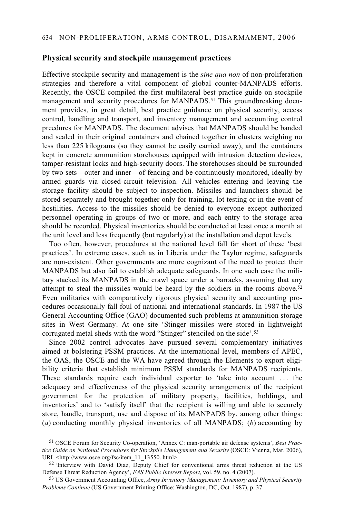#### **Physical security and stockpile management practices**

Effective stockpile security and management is the *sine qua non* of non-proliferation strategies and therefore a vital component of global counter-MANPADS efforts. Recently, the OSCE compiled the first multilateral best practice guide on stockpile management and security procedures for MANPADS.<sup>51</sup> This groundbreaking document provides, in great detail, best practice guidance on physical security, access control, handling and transport, and inventory management and accounting control prcedures for MANPADS. The document advises that MANPADS should be banded and sealed in their original containers and chained together in clusters weighing no less than 225 kilograms (so they cannot be easily carried away), and the containers kept in concrete ammunition storehouses equipped with intrusion detection devices, tamper-resistant locks and high-security doors. The storehouses should be surrounded by two sets—outer and inner—of fencing and be continuously monitored, ideally by armed guards via closed-circuit television. All vehicles entering and leaving the storage facility should be subject to inspection. Missiles and launchers should be stored separately and brought together only for training, lot testing or in the event of hostilities. Access to the missiles should be denied to everyone except authorized personnel operating in groups of two or more, and each entry to the storage area should be recorded. Physical inventories should be conducted at least once a month at the unit level and less frequently (but regularly) at the installation and depot levels.

Too often, however, procedures at the national level fall far short of these 'best practices'. In extreme cases, such as in Liberia under the Taylor regime, safeguards are non-existent. Other governments are more cognizant of the need to protect their MANPADS but also fail to establish adequate safeguards. In one such case the military stacked its MANPADS in the crawl space under a barracks, assuming that any attempt to steal the missiles would be heard by the soldiers in the rooms above.<sup>52</sup> Even militaries with comparatively rigorous physical security and accounting procedures occasionally fall foul of national and international standards. In 1987 the US General Accounting Office (GAO) documented such problems at ammunition storage sites in West Germany. At one site 'Stinger missiles were stored in lightweight corrugated metal sheds with the word "Stinger" stenciled on the side'.<sup>53</sup>

Since 2002 control advocates have pursued several complementary initiatives aimed at bolstering PSSM practices. At the international level, members of APEC, the OAS, the OSCE and the WA have agreed through the Elements to export eligibility criteria that establish minimum PSSM standards for MANPADS recipients. These standards require each individual exporter to 'take into account . . . the adequacy and effectiveness of the physical security arrangements of the recipient government for the protection of military property, facilities, holdings, and inventories' and to 'satisfy itself' that the recipient is willing and able to securely store, handle, transport, use and dispose of its MANPADS by, among other things: (*a*) conducting monthly physical inventories of all MANPADS; (*b*) accounting by

<sup>51</sup> OSCE Forum for Security Co-operation, 'Annex C: man-portable air defense systems', *Best Practice Guide on National Procedures for Stockpile Management and Security* (OSCE: Vienna, Mar. 2006),

URL  $\lt$ http://www.osce.org/fsc/item\_11\_13550. html>.<br>
<sup>52</sup> 'Interview with David Diaz, Deputy Chief for conventional arms threat reduction at the US<br>
Defense Threat Reduction Agency', *FAS Public Interest Report*, vol. 5

<sup>&</sup>lt;sup>53</sup> US Government Accounting Office, *Army Inventory Management: Inventory and Physical Security Problems Continue* (US Government Printing Office: Washington, DC, Oct. 1987), p. 37.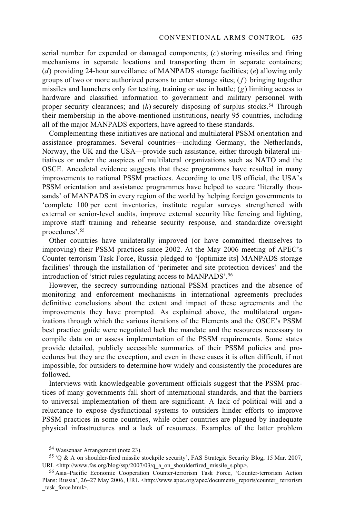serial number for expended or damaged components; (*c*) storing missiles and firing mechanisms in separate locations and transporting them in separate containers; (*d*) providing 24-hour surveillance of MANPADS storage facilities; (*e*) allowing only groups of two or more authorized persons to enter storage sites; (*f* ) bringing together missiles and launchers only for testing, training or use in battle; (*g*) limiting access to hardware and classified information to government and military personnel with proper security clearances; and (*h*) securely disposing of surplus stocks.54 Through their membership in the above-mentioned institutions, nearly 95 countries, including all of the major MANPADS exporters, have agreed to these standards.

Complementing these initiatives are national and multilateral PSSM orientation and assistance programmes. Several countries—including Germany, the Netherlands, Norway, the UK and the USA—provide such assistance, either through bilateral initiatives or under the auspices of multilateral organizations such as NATO and the OSCE. Anecdotal evidence suggests that these programmes have resulted in many improvements to national PSSM practices. According to one US official, the USA's PSSM orientation and assistance programmes have helped to secure 'literally thousands' of MANPADS in every region of the world by helping foreign governments to 'complete 100 per cent inventories, institute regular surveys strengthened with external or senior-level audits, improve external security like fencing and lighting, improve staff training and rehearse security response, and standardize oversight procedures'.55

Other countries have unilaterally improved (or have committed themselves to improving) their PSSM practices since 2002. At the May 2006 meeting of APEC's Counter-terrorism Task Force, Russia pledged to '[optimize its] MANPADS storage facilities' through the installation of 'perimeter and site protection devices' and the introduction of 'strict rules regulating access to MANPADS'.56

However, the secrecy surrounding national PSSM practices and the absence of monitoring and enforcement mechanisms in international agreements precludes definitive conclusions about the extent and impact of these agreements and the improvements they have prompted. As explained above, the multilateral organizations through which the various iterations of the Elements and the OSCE's PSSM best practice guide were negotiated lack the mandate and the resources necessary to compile data on or assess implementation of the PSSM requirements. Some states provide detailed, publicly accessible summaries of their PSSM policies and procedures but they are the exception, and even in these cases it is often difficult, if not impossible, for outsiders to determine how widely and consistently the procedures are followed.

Interviews with knowledgeable government officials suggest that the PSSM practices of many governments fall short of international standards, and that the barriers to universal implementation of them are significant. A lack of political will and a reluctance to expose dysfunctional systems to outsiders hinder efforts to improve PSSM practices in some countries, while other countries are plagued by inadequate physical infrastructures and a lack of resources. Examples of the latter problem

<sup>54</sup> Wassenaar Arrangement (note 23).

<sup>&</sup>lt;sup>55</sup> 'Q & A on shoulder-fired missile stockpile security', FAS Strategic Security Blog, 15 Mar. 2007, URL <http://www.fas.org/blog/ssp/2007/03/q a on shoulderfired missile s.php>.

<sup>&</sup>lt;sup>56</sup> Asia-Pacific Economic Cooperation Counter-terrorism Task Force, 'Counter-terrorism Action Plans: Russia', 26–27 May 2006, URL <http://www.apec.org/apec/documents\_reports/counter\_ terrorism task force.html>.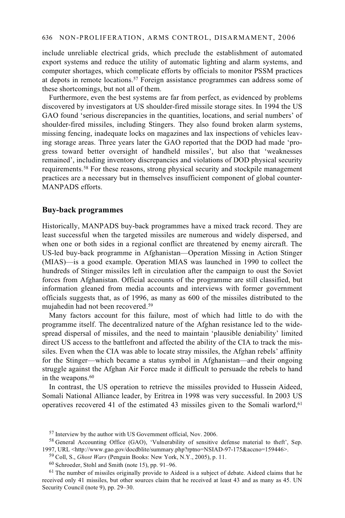#### 636 NON-PROLIFERATION, ARMS CONTROL, DISARMAMENT, 2006

include unreliable electrical grids, which preclude the establishment of automated export systems and reduce the utility of automatic lighting and alarm systems, and computer shortages, which complicate efforts by officials to monitor PSSM practices at depots in remote locations.57 Foreign assistance programmes can address some of these shortcomings, but not all of them.

Furthermore, even the best systems are far from perfect, as evidenced by problems discovered by investigators at US shoulder-fired missile storage sites. In 1994 the US GAO found 'serious discrepancies in the quantities, locations, and serial numbers' of shoulder-fired missiles, including Stingers. They also found broken alarm systems, missing fencing, inadequate locks on magazines and lax inspections of vehicles leaving storage areas. Three years later the GAO reported that the DOD had made 'progress toward better oversight of handheld missiles', but also that 'weaknesses remained', including inventory discrepancies and violations of DOD physical security requirements.58 For these reasons, strong physical security and stockpile management practices are a necessary but in themselves insufficient component of global counter-MANPADS efforts.

#### **Buy-back programmes**

Historically, MANPADS buy-back programmes have a mixed track record. They are least successful when the targeted missiles are numerous and widely dispersed, and when one or both sides in a regional conflict are threatened by enemy aircraft. The US-led buy-back programme in Afghanistan—Operation Missing in Action Stinger (MIAS)—is a good example. Operation MIAS was launched in 1990 to collect the hundreds of Stinger missiles left in circulation after the campaign to oust the Soviet forces from Afghanistan. Official accounts of the programme are still classified, but information gleaned from media accounts and interviews with former government officials suggests that, as of 1996, as many as 600 of the missiles distributed to the mujahedin had not been recovered.59

Many factors account for this failure, most of which had little to do with the programme itself. The decentralized nature of the Afghan resistance led to the widespread dispersal of missiles, and the need to maintain 'plausible deniability' limited direct US access to the battlefront and affected the ability of the CIA to track the missiles. Even when the CIA was able to locate stray missiles, the Afghan rebels' affinity for the Stinger—which became a status symbol in Afghanistan—and their ongoing struggle against the Afghan Air Force made it difficult to persuade the rebels to hand in the weapons.<sup>60</sup>

In contrast, the US operation to retrieve the missiles provided to Hussein Aideed, Somali National Alliance leader, by Eritrea in 1998 was very successful. In 2003 US operatives recovered 41 of the estimated 43 missiles given to the Somali warlord, $61$ 

<sup>57</sup> Interview by the author with US Government official, Nov. 2006.

<sup>58</sup> General Accounting Office (GAO), 'Vulnerability of sensitive defense material to theft', Sep. 1997, URL <http://www.gao.gov/docdblite/summary.php?rptno=NSIAD-97-175&accno=159446>. 59 Coll, S., *Ghost Wars* (Penguin Books: New York, N.Y., 2005), p. 11. 60 Schroeder, Stohl and Smith (note 15), pp. 91–96.

<sup>&</sup>lt;sup>61</sup> The number of missiles originally provide to Aideed is a subject of debate. Aideed claims that he received only 41 missiles, but other sources claim that he received at least 43 and as many as 45. UN Security Council (note 9), pp. 29–30.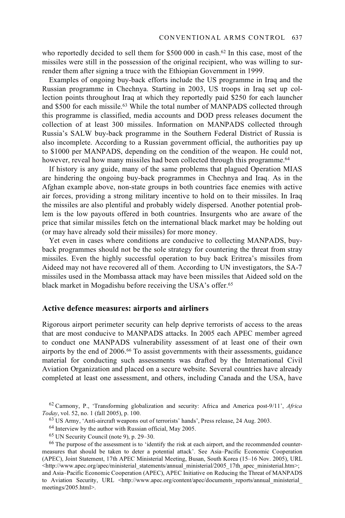who reportedly decided to sell them for  $$500,000$  in cash.<sup>62</sup> In this case, most of the missiles were still in the possession of the original recipient, who was willing to surrender them after signing a truce with the Ethiopian Government in 1999.

Examples of ongoing buy-back efforts include the US programme in Iraq and the Russian programme in Chechnya. Starting in 2003, US troops in Iraq set up collection points throughout Iraq at which they reportedly paid \$250 for each launcher and \$500 for each missile.63 While the total number of MANPADS collected through this programme is classified, media accounts and DOD press releases document the collection of at least 300 missiles. Information on MANPADS collected through Russia's SALW buy-back programme in the Southern Federal District of Russia is also incomplete. According to a Russian government official, the authorities pay up to \$1000 per MANPADS, depending on the condition of the weapon. He could not, however, reveal how many missiles had been collected through this programme.<sup>64</sup>

If history is any guide, many of the same problems that plagued Operation MIAS are hindering the ongoing buy-back programmes in Chechnya and Iraq. As in the Afghan example above, non-state groups in both countries face enemies with active air forces, providing a strong military incentive to hold on to their missiles. In Iraq the missiles are also plentiful and probably widely dispersed. Another potential problem is the low payouts offered in both countries. Insurgents who are aware of the price that similar missiles fetch on the international black market may be holding out (or may have already sold their missiles) for more money.

Yet even in cases where conditions are conducive to collecting MANPADS, buyback programmes should not be the sole strategy for countering the threat from stray missiles. Even the highly successful operation to buy back Eritrea's missiles from Aideed may not have recovered all of them. According to UN investigators, the SA-7 missiles used in the Mombassa attack may have been missiles that Aideed sold on the black market in Mogadishu before receiving the USA's offer.65

#### **Active defence measures: airports and airliners**

Rigorous airport perimeter security can help deprive terrorists of access to the areas that are most conducive to MANPADS attacks. In 2005 each APEC member agreed to conduct one MANPADS vulnerability assessment of at least one of their own airports by the end of 2006.66 To assist governments with their assessments, guidance material for conducting such assessments was drafted by the International Civil Aviation Organization and placed on a secure website. Several countries have already completed at least one assessment, and others, including Canada and the USA, have

62 Carmony, P., 'Transforming globalization and security: Africa and America post-9/11', *Africa* 

<sup>63</sup> US Army, 'Anti-aircraft weapons out of terrorists' hands', Press release, 24 Aug. 2003.

<sup>64</sup> Interview by the author with Russian official, May 2005.

<sup>65</sup> UN Security Council (note 9), p. 29–30.

<sup>&</sup>lt;sup>66</sup> The purpose of the assessment is to 'identify the risk at each airport, and the recommended countermeasures that should be taken to deter a potential attack'. See Asia–Pacific Economic Cooperation (APEC), Joint Statement, 17th APEC Ministerial Meeting, Busan, South Korea (15–16 Nov. 2005), URL  $\text{Khttp://www.apec.org/apec/ministerial statements/annual ministerial/2005}$  17th apec\_ministerial.htm>; and Asia–Pacific Economic Cooperation (APEC), APEC Initiative on Reducing the Threat of MANPADS to Aviation Security, URL <http://www.apec.org/content/apec/documents reports/annual ministerial meetings/2005.html>.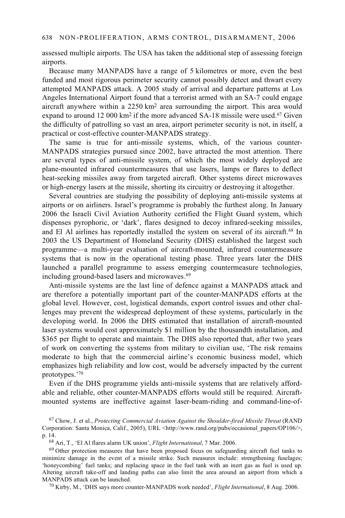assessed multiple airports. The USA has taken the additional step of assessing foreign airports.

Because many MANPADS have a range of 5 kilometres or more, even the best funded and most rigorous perimeter security cannot possibly detect and thwart every attempted MANPADS attack. A 2005 study of arrival and departure patterns at Los Angeles International Airport found that a terrorist armed with an SA-7 could engage aircraft anywhere within a 2250 km2 area surrounding the airport. This area would expand to around 12 000 km<sup>2</sup> if the more advanced SA-18 missile were used.<sup>67</sup> Given the difficulty of patrolling so vast an area, airport perimeter security is not, in itself, a practical or cost-effective counter-MANPADS strategy.

The same is true for anti-missile systems, which, of the various counter-MANPADS strategies pursued since 2002, have attracted the most attention. There are several types of anti-missile system, of which the most widely deployed are plane-mounted infrared countermeasures that use lasers, lamps or flares to deflect heat-seeking missiles away from targeted aircraft. Other systems direct microwaves or high-energy lasers at the missile, shorting its circuitry or destroying it altogether.

Several countries are studying the possibility of deploying anti-missile systems at airports or on airliners. Israel's programme is probably the furthest along. In January 2006 the Israeli Civil Aviation Authority certified the Flight Guard system, which dispenses pyrophoric, or 'dark', flares designed to decoy infrared-seeking missiles, and El Al airlines has reportedly installed the system on several of its aircraft.<sup>68</sup> In 2003 the US Department of Homeland Security (DHS) established the largest such programme—a multi-year evaluation of aircraft-mounted, infrared countermeasure systems that is now in the operational testing phase. Three years later the DHS launched a parallel programme to assess emerging countermeasure technologies, including ground-based lasers and microwaves.<sup>69</sup>

Anti-missile systems are the last line of defence against a MANPADS attack and are therefore a potentially important part of the counter-MANPADS efforts at the global level. However, cost, logistical demands, export control issues and other challenges may prevent the widespread deployment of these systems, particularly in the developing world. In 2006 the DHS estimated that installation of aircraft-mounted laser systems would cost approximately \$1 million by the thousandth installation, and \$365 per flight to operate and maintain. The DHS also reported that, after two years of work on converting the systems from military to civilian use, 'The risk remains moderate to high that the commercial airline's economic business model, which emphasizes high reliability and low cost, would be adversely impacted by the current prototypes.'70

Even if the DHS programme yields anti-missile systems that are relatively affordable and reliable, other counter-MANPADS efforts would still be required. Aircraftmounted systems are ineffective against laser-beam-riding and command-line-of-

<sup>67</sup> Chow, J. et al., *Protecting Commercial Aviation Against the Shoulder-fired Missile Threat* (RAND Corporation: Santa Monica, Calif., 2005), URL <http://www.rand.org/pubs/occasional\_papers/OP106/>, p. 14. 68 Ari, T., 'El Al flares alarm UK union', *Flight International*, 7 Mar. 2006.

<sup>&</sup>lt;sup>69</sup> Other protection measures that have been proposed focus on safeguarding aircraft fuel tanks to minimize damage in the event of a missile strike. Such measures include: strengthening fuselages; 'honeycombing' fuel tanks; and replacing space in the fuel tank with an inert gas as fuel is used up. Altering aircraft take-off and landing paths can also limit the area around an airport from which a MANPADS attack can be launched. 70 Kirby, M., 'DHS says more counter-MANPADS work needed', *Flight International*, 8 Aug. 2006.